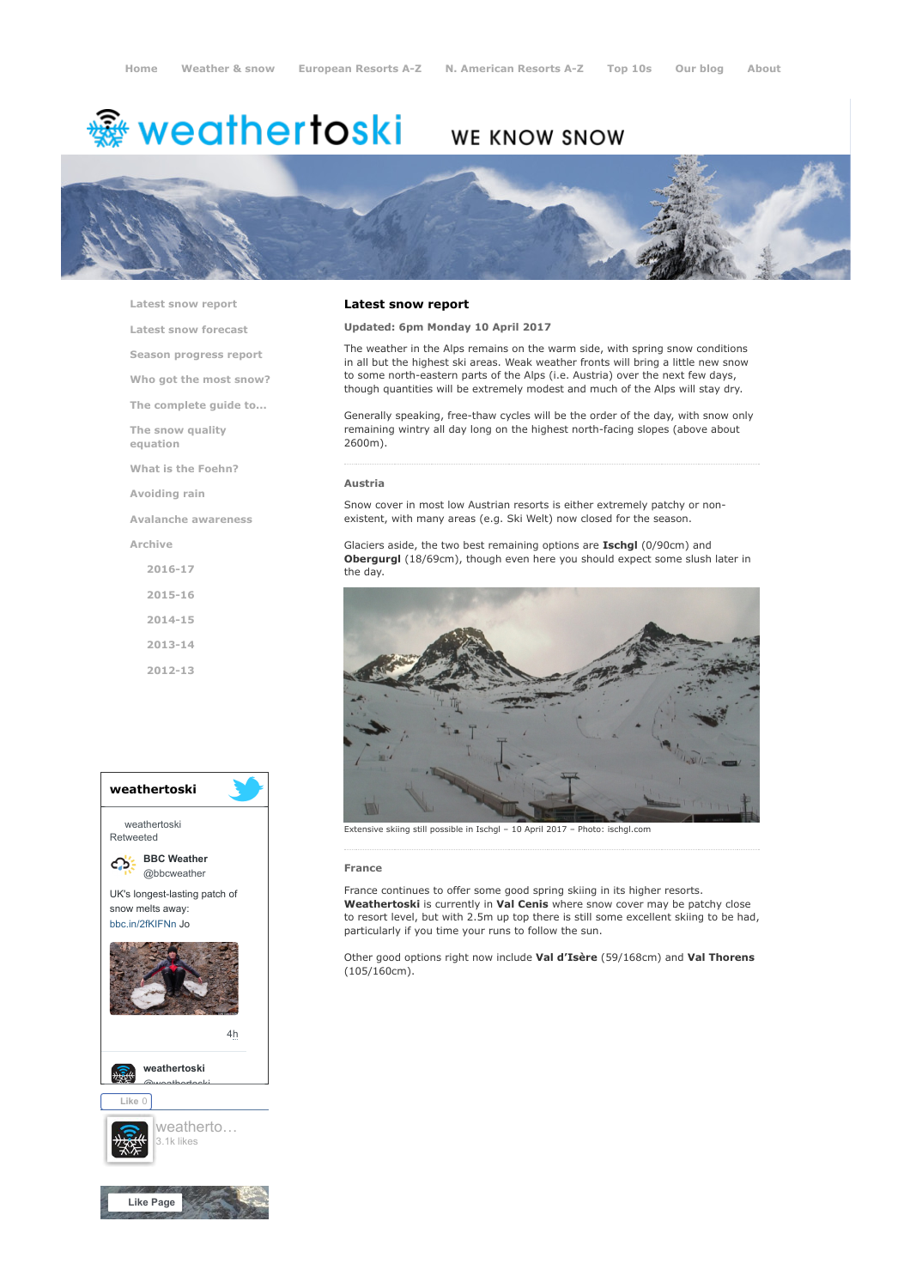# **※ weathertoski**

# WE KNOW SNOW



[Latest snow report](https://www.weathertoski.co.uk/weather-snow/latest-snow-report/)

[Latest snow forecast](https://www.weathertoski.co.uk/weather-snow/latest-snow-forecast/)

[Season progress report](https://www.weathertoski.co.uk/weather-snow/season-progress-report/)

[Who got the most snow?](https://www.weathertoski.co.uk/weather-snow/who-got-the-most-snow/)

[The complete guide to...](https://www.weathertoski.co.uk/weather-snow/the-complete-guide-to/)

[The snow quality](https://www.weathertoski.co.uk/weather-snow/the-snow-quality-equation/)

[What is the Foehn?](https://www.weathertoski.co.uk/weather-snow/what-is-the-foehn/)

[Avoiding rain](https://www.weathertoski.co.uk/weather-snow/avoiding-rain/)

[Avalanche awareness](https://www.weathertoski.co.uk/weather-snow/avalanche-awareness/)

[Archive](https://www.weathertoski.co.uk/weather-snow/archive/)

equation

[2016-17](https://www.weathertoski.co.uk/weather-snow/archive/2016-17/) [2015-16](https://www.weathertoski.co.uk/weather-snow/archive/2015-16/) [2014-15](https://www.weathertoski.co.uk/weather-snow/archive/2014-15/)

[2013-14](https://www.weathertoski.co.uk/weather-snow/archive/2013-14/)

[2012-13](https://www.weathertoski.co.uk/weather-snow/archive/2012-13/)



## Latest snow report

Updated: 6pm Monday 10 April 2017

The weather in the Alps remains on the warm side, with spring snow conditions in all but the highest ski areas. Weak weather fronts will bring a little new snow to some north-eastern parts of the Alps (i.e. Austria) over the next few days, though quantities will be extremely modest and much of the Alps will stay dry.

Generally speaking, free-thaw cycles will be the order of the day, with snow only remaining wintry all day long on the highest north-facing slopes (above about 2600m).

#### Austria

Snow cover in most low Austrian resorts is either extremely patchy or nonexistent, with many areas (e.g. Ski Welt) now closed for the season.

Glaciers aside, the two best remaining options are Ischgl (0/90cm) and Obergurgl (18/69cm), though even here you should expect some slush later in the day.



Extensive skiing still possible in Ischgl – 10 April 2017 – Photo: ischgl.com

#### France

France continues to offer some good spring skiing in its higher resorts. Weathertoski is currently in Val Cenis where snow cover may be patchy close to resort level, but with 2.5m up top there is still some excellent skiing to be had, particularly if you time your runs to follow the sun.

Other good options right now include Val d'Isère (59/168cm) and Val Thorens (105/160cm).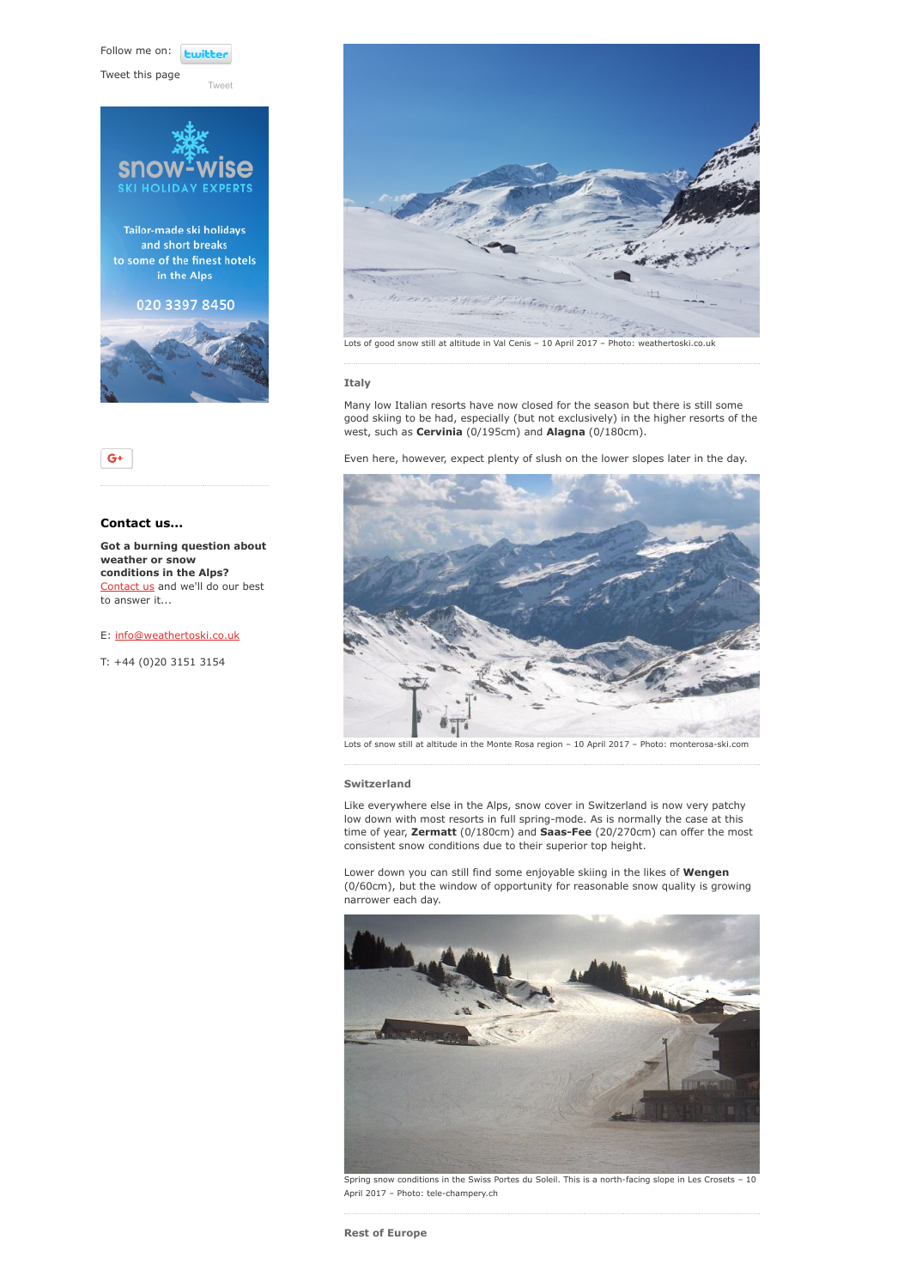Follow me on: **Luitt** 

[Tweet](https://twitter.com/intent/tweet?original_referer=https%3A%2F%2Fwww.weathertoski.co.uk%2Fweather-snow%2Farchive%2Fsnow-report-10-04-2017%2F&ref_src=twsrc%5Etfw&text=Weather%20to%20ski%20-%20Snow%20report%20-%2010%20April%202017&tw_p=tweetbutton&url=https%3A%2F%2Fwww.weathertoski.co.uk%2Fweather-snow%2Farchive%2Fsnow-report-10-04-2017%2F)

Tweet this page





## Contact us...

 $G^+$ 

Got a burning question about weather or snow conditions in the Alps? [Contact us](https://www.weathertoski.co.uk/about-1/contact-us/) and we'll do our best to answer it...

E: [info@weathertoski.co.uk](mailto:fraser@weathertoski.co.uk)

T: +44 (0)20 3151 3154



#### Italy

Many low Italian resorts have now closed for the season but there is still some good skiing to be had, especially (but not exclusively) in the higher resorts of the west, such as Cervinia (0/195cm) and Alagna (0/180cm).

Even here, however, expect plenty of slush on the lower slopes later in the day.



Lots of snow still at altitude in the Monte Rosa region – 10 April 2017 – Photo: monterosa-ski.com

#### Switzerland

Like everywhere else in the Alps, snow cover in Switzerland is now very patchy low down with most resorts in full spring-mode. As is normally the case at this time of year, Zermatt (0/180cm) and Saas-Fee (20/270cm) can offer the most consistent snow conditions due to their superior top height.

Lower down you can still find some enjoyable skiing in the likes of Wengen (0/60cm), but the window of opportunity for reasonable snow quality is growing narrower each day.



Spring snow conditions in the Swiss Portes du Soleil. This is a north-facing slope in Les Crosets – 10 April 2017 – Photo: tele-champery.ch

Rest of Europe